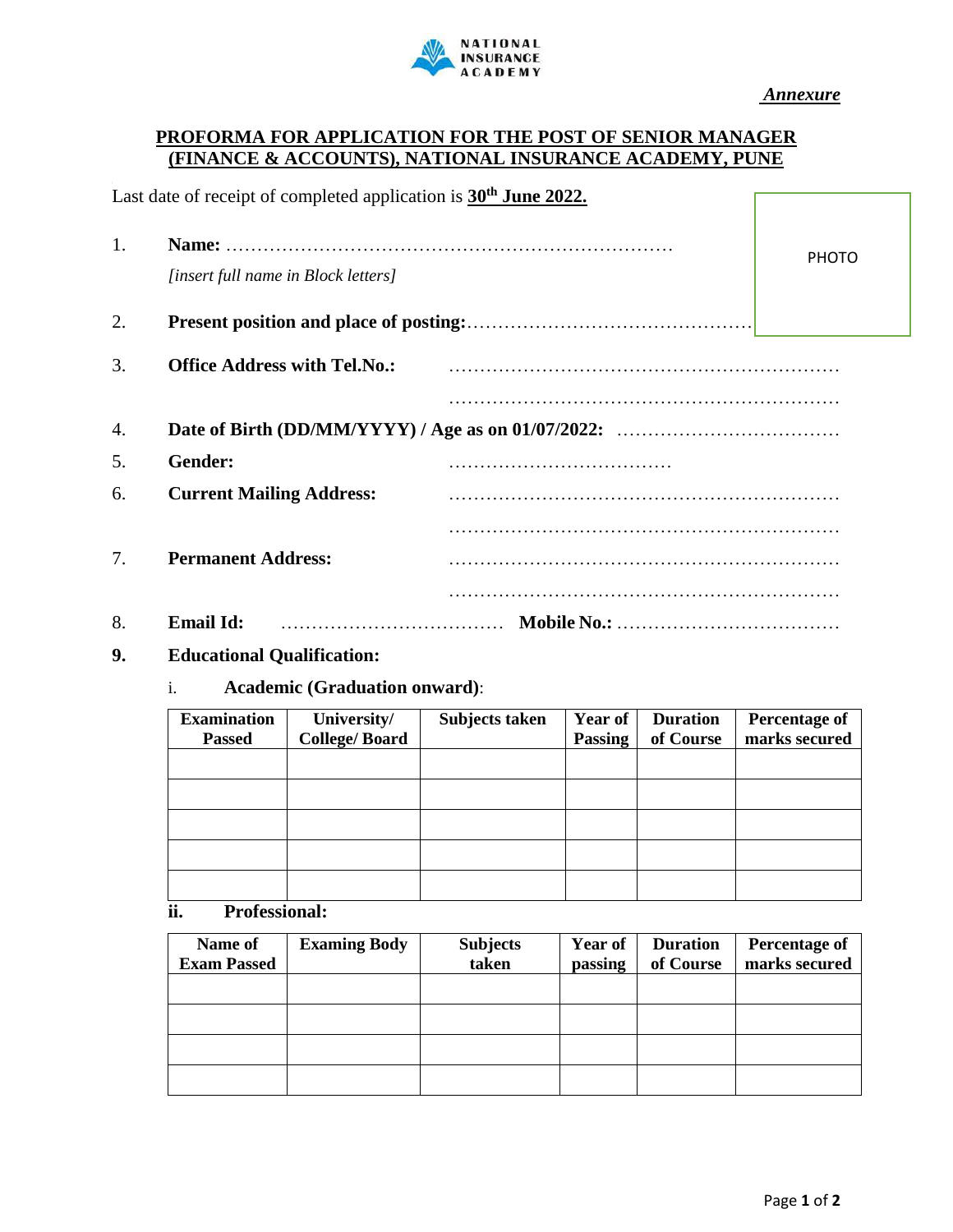

*Annexure*

## **PROFORMA FOR APPLICATION FOR THE POST OF SENIOR MANAGER (FINANCE & ACCOUNTS), NATIONAL INSURANCE ACADEMY, PUNE**

| Last date of receipt of completed application is 30 <sup>th</sup> June 2022. |
|------------------------------------------------------------------------------|
|------------------------------------------------------------------------------|

| 1. | [insert full name in Block letters] | <b>PHOTO</b> |
|----|-------------------------------------|--------------|
| 2. |                                     |              |
| 3. | <b>Office Address with Tel.No.:</b> |              |
| 4. |                                     |              |
| 5. | Gender:                             |              |
| 6. | <b>Current Mailing Address:</b>     |              |
|    |                                     |              |
| 7. | <b>Permanent Address:</b>           |              |
|    |                                     |              |
| 8. | <b>Email Id:</b>                    |              |

## **9. Educational Qualification:**

# i. **Academic (Graduation onward)**:

| <b>Examination</b> | University/          | Subjects taken | <b>Year of</b> | <b>Duration</b> | <b>Percentage of</b> |
|--------------------|----------------------|----------------|----------------|-----------------|----------------------|
| <b>Passed</b>      | <b>College/Board</b> |                | Passing        | of Course       | marks secured        |
|                    |                      |                |                |                 |                      |
|                    |                      |                |                |                 |                      |
|                    |                      |                |                |                 |                      |
|                    |                      |                |                |                 |                      |
|                    |                      |                |                |                 |                      |

**ii. Professional:**

| Name of<br><b>Exam Passed</b> | <b>Examing Body</b> | <b>Subjects</b><br>taken | <b>Year of</b><br>passing | <b>Duration</b><br>of Course | <b>Percentage of</b><br>marks secured |
|-------------------------------|---------------------|--------------------------|---------------------------|------------------------------|---------------------------------------|
|                               |                     |                          |                           |                              |                                       |
|                               |                     |                          |                           |                              |                                       |
|                               |                     |                          |                           |                              |                                       |
|                               |                     |                          |                           |                              |                                       |